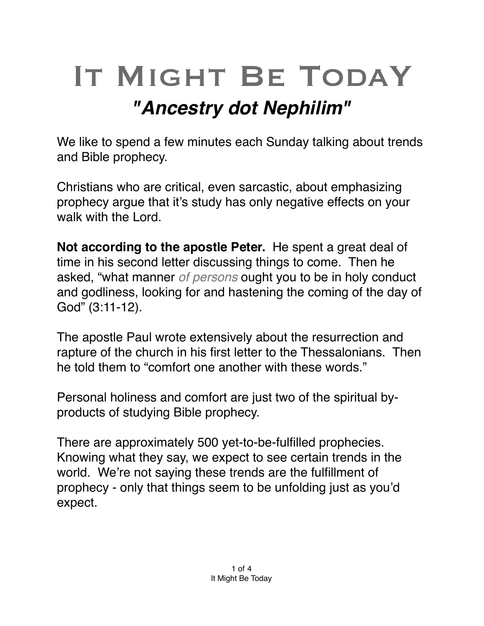## IT MIGHT BE TODAY *"Ancestry dot Nephilim"*

We like to spend a few minutes each Sunday talking about trends and Bible prophecy.

Christians who are critical, even sarcastic, about emphasizing prophecy argue that it's study has only negative effects on your walk with the Lord.

**Not according to the apostle Peter.** He spent a great deal of time in his second letter discussing things to come. Then he asked, "what manner *of persons* ought you to be in holy conduct and godliness, looking for and hastening the coming of the day of God" (3:11-12).

The apostle Paul wrote extensively about the resurrection and rapture of the church in his first letter to the Thessalonians. Then he told them to "comfort one another with these words."

Personal holiness and comfort are just two of the spiritual byproducts of studying Bible prophecy.

There are approximately 500 yet-to-be-fulfilled prophecies. Knowing what they say, we expect to see certain trends in the world. We're not saying these trends are the fulfillment of prophecy - only that things seem to be unfolding just as you'd expect.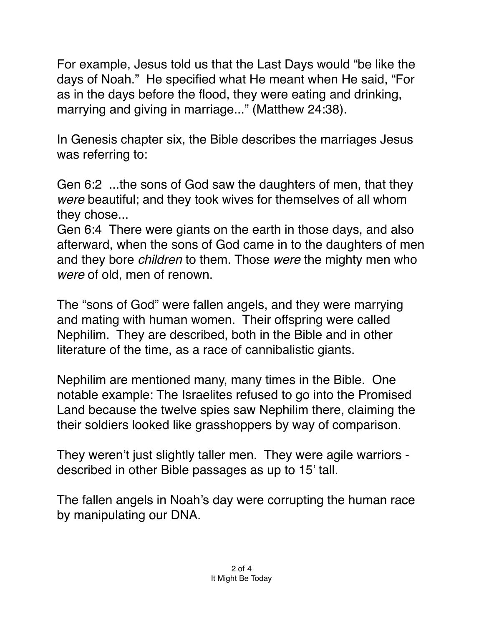For example, Jesus told us that the Last Days would "be like the days of Noah." He specified what He meant when He said, "For as in the days before the flood, they were eating and drinking, marrying and giving in marriage..." (Matthew 24:38).

In Genesis chapter six, the Bible describes the marriages Jesus was referring to:

Gen 6:2 ...the sons of God saw the daughters of men, that they *were* beautiful; and they took wives for themselves of all whom they chose...

[Gen 6:4](verseid:1.6.4) There were giants on the earth in those days, and also afterward, when the sons of God came in to the daughters of men and they bore *children* to them. Those *were* the mighty men who *were* of old, men of renown.

The "sons of God" were fallen angels, and they were marrying and mating with human women. Their offspring were called Nephilim. They are described, both in the Bible and in other literature of the time, as a race of cannibalistic giants.

Nephilim are mentioned many, many times in the Bible. One notable example: The Israelites refused to go into the Promised Land because the twelve spies saw Nephilim there, claiming the their soldiers looked like grasshoppers by way of comparison.

They weren't just slightly taller men. They were agile warriors described in other Bible passages as up to 15' tall.

The fallen angels in Noah's day were corrupting the human race by manipulating our DNA.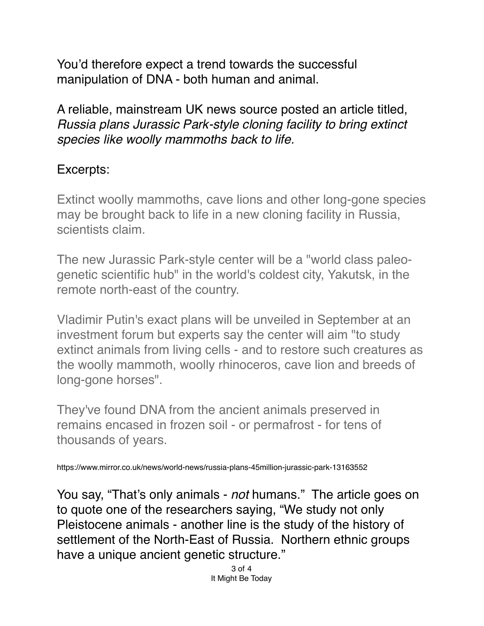You'd therefore expect a trend towards the successful manipulation of DNA - both human and animal.

A reliable, mainstream UK news source posted an article titled, *Russia plans Jurassic Park-style cloning facility to bring extinct species like woolly mammoths back to life.*

## Excerpts:

Extinct woolly mammoths, cave lions and other long-gone species may be brought back to life in a new [cloning](https://www.mirror.co.uk/all-about/cloning) facility in Russia, scientists claim.

The new Jurassic Park-style center will be a "world class paleogenetic scientific hub" in the world's coldest city, Yakutsk, in the remote north-east of the country.

[Vladimir Putin's](https://www.mirror.co.uk/all-about/vladimir-putin) exact plans will be unveiled in September at an investment forum but experts say the center will aim "to study extinct animals from living cells - and to restore such creatures as the woolly mammoth, woolly rhinoceros, cave lion and breeds of long-gone horses".

They've found DNA from the ancient animals preserved in remains encased in frozen soil - or permafrost - for tens of thousands of years.

https://www.mirror.co.uk/news/world-news/russia-plans-45million-jurassic-park-13163552

You say, "That's only animals - *not* humans." The article goes on to quote one of the researchers saying, "We study not only Pleistocene animals - another line is the study of the history of settlement of the North-East of Russia. Northern ethnic groups have a unique ancient genetic structure."